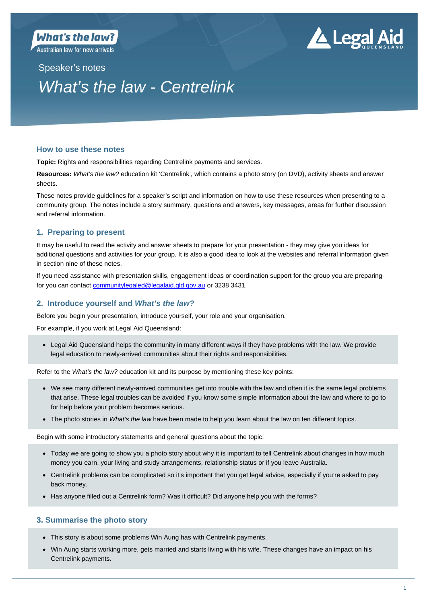**Australian law for new arrivals** 

# ▲ Legal Aid

Speaker's notes

## *What's the law - Centrelink*

## **How to use these notes**

**Topic:** Rights and responsibilities regarding Centrelink payments and services.

**Resources:** *What's the law?* education kit 'Centrelink', which contains a photo story (on DVD), activity sheets and answer sheets.

These notes provide guidelines for a speaker's script and information on how to use these resources when presenting to a community group. The notes include a story summary, questions and answers, key messages, areas for further discussion and referral information.

## **1. Preparing to present**

It may be useful to read the activity and answer sheets to prepare for your presentation - they may give you ideas for additional questions and activities for your group. It is also a good idea to look at the websites and referral information given in section nine of these notes.

If you need assistance with presentation skills, engagement ideas or coordination support for the group you are preparing for you can contact communitylegaled@legalaid.qld.gov.au or 3238 3431.

## **2. Introduce yourself and** *What's the law?*

Before you begin your presentation, introduce yourself, your role and your organisation.

For example, if you work at Legal Aid Queensland:

 Legal Aid Queensland helps the community in many different ways if they have problems with the law. We provide legal education to newly-arrived communities about their rights and responsibilities.

Refer to the *What's the law?* education kit and its purpose by mentioning these key points:

- We see many different newly-arrived communities get into trouble with the law and often it is the same legal problems that arise. These legal troubles can be avoided if you know some simple information about the law and where to go to for help before your problem becomes serious.
- The photo stories in *What's the law* have been made to help you learn about the law on ten different topics.

Begin with some introductory statements and general questions about the topic:

- Today we are going to show you a photo story about why it is important to tell Centrelink about changes in how much money you earn, your living and study arrangements, relationship status or if you leave Australia.
- Centrelink problems can be complicated so it's important that you get legal advice, especially if you're asked to pay back money.
- Has anyone filled out a Centrelink form? Was it difficult? Did anyone help you with the forms?

## **3. Summarise the photo story**

- This story is about some problems Win Aung has with Centrelink payments.
- Win Aung starts working more, gets married and starts living with his wife. These changes have an impact on his Centrelink payments.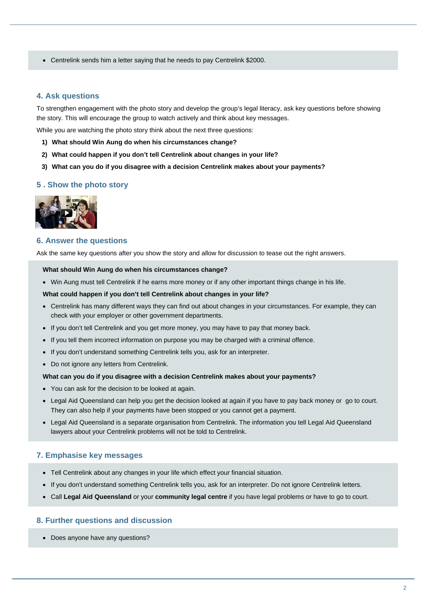Centrelink sends him a letter saying that he needs to pay Centrelink \$2000.

## **4. Ask questions**

To strengthen engagement with the photo story and develop the group's legal literacy, ask key questions before showing the story. This will encourage the group to watch actively and think about key messages.

While you are watching the photo story think about the next three questions:

- **1) What should Win Aung do when his circumstances change?**
- **2) What could happen if you don't tell Centrelink about changes in your life?**
- **3) What can you do if you disagree with a decision Centrelink makes about your payments?**

#### **5 . Show the photo story**



#### **6. Answer the questions**

Ask the same key questions after you show the story and allow for discussion to tease out the right answers.

#### **What should Win Aung do when his circumstances change?**

Win Aung must tell Centrelink if he earns more money or if any other important things change in his life.

#### **What could happen if you don't tell Centrelink about changes in your life?**

- Centrelink has many different ways they can find out about changes in your circumstances. For example, they can check with your employer or other government departments.
- If you don't tell Centrelink and you get more money, you may have to pay that money back.
- If you tell them incorrect information on purpose you may be charged with a criminal offence.
- If you don't understand something Centrelink tells you, ask for an interpreter.
- Do not ignore any letters from Centrelink.

#### **What can you do if you disagree with a decision Centrelink makes about your payments?**

- You can ask for the decision to be looked at again.
- Legal Aid Queensland can help you get the decision looked at again if you have to pay back money or go to court. They can also help if your payments have been stopped or you cannot get a payment.
- Legal Aid Queensland is a separate organisation from Centrelink. The information you tell Legal Aid Queensland lawyers about your Centrelink problems will not be told to Centrelink.

#### **7. Emphasise key messages**

- Tell Centrelink about any changes in your life which effect your financial situation.
- If you don't understand something Centrelink tells you, ask for an interpreter. Do not ignore Centrelink letters.
- Call **Legal Aid Queensland** or your **community legal centre** if you have legal problems or have to go to court.

## **8. Further questions and discussion**

• Does anyone have any questions?